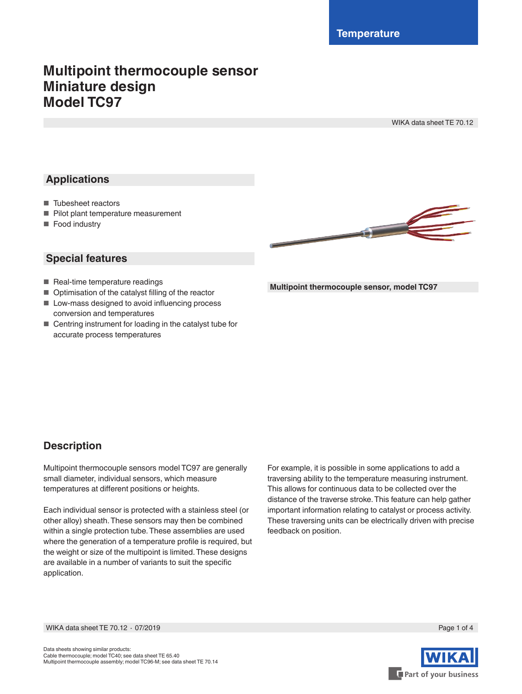# **Multipoint thermocouple sensor Miniature design Model TC97**

WIKA data sheet TE 70.12

### **Applications**

- Tubesheet reactors
- Pilot plant temperature measurement
- Food industry

### **Special features**

- Real-time temperature readings
- Optimisation of the catalyst filling of the reactor
- Low-mass designed to avoid influencing process conversion and temperatures
- Centring instrument for loading in the catalyst tube for accurate process temperatures



**Multipoint thermocouple sensor, model TC97**

### **Description**

Multipoint thermocouple sensors model TC97 are generally small diameter, individual sensors, which measure temperatures at different positions or heights.

Each individual sensor is protected with a stainless steel (or other alloy) sheath. These sensors may then be combined within a single protection tube. These assemblies are used where the generation of a temperature profile is required, but the weight or size of the multipoint is limited. These designs are available in a number of variants to suit the specific application.

For example, it is possible in some applications to add a traversing ability to the temperature measuring instrument. This allows for continuous data to be collected over the distance of the traverse stroke. This feature can help gather important information relating to catalyst or process activity. These traversing units can be electrically driven with precise feedback on position.

WIKA data sheet TE 70.12 ⋅ 07/2019 Page 1 of 4

Part of your business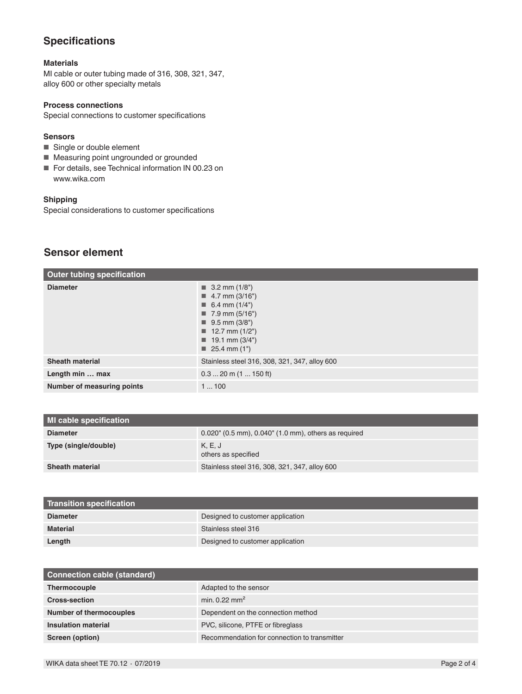### **Specifications**

#### **Materials**

MI cable or outer tubing made of 316, 308, 321, 347, alloy 600 or other specialty metals

#### **Process connections**

Special connections to customer specifications

#### **Sensors**

- Single or double element
- Measuring point ungrounded or grounded
- For details, see Technical information IN 00.23 on www.wika.com

#### **Shipping**

Special considerations to customer specifications

### **Sensor element**

| <b>Outer tubing specification</b> |                                                                                                                                                                                                                                                                 |
|-----------------------------------|-----------------------------------------------------------------------------------------------------------------------------------------------------------------------------------------------------------------------------------------------------------------|
| <b>Diameter</b>                   | $\blacksquare$ 3.2 mm (1/8")<br>$\blacksquare$ 4.7 mm (3/16")<br>$\blacksquare$ 6.4 mm (1/4")<br>$\blacksquare$ 7.9 mm (5/16")<br>$\blacksquare$ 9.5 mm (3/8")<br>$\blacksquare$ 12.7 mm (1/2")<br>$\blacksquare$ 19.1 mm (3/4")<br>$\blacksquare$ 25.4 mm (1") |
| <b>Sheath material</b>            | Stainless steel 316, 308, 321, 347, alloy 600                                                                                                                                                                                                                   |
| Length min  max                   | $0.320$ m $(1150$ ft)                                                                                                                                                                                                                                           |
| Number of measuring points        | 1100                                                                                                                                                                                                                                                            |

| <b>Transition specification</b> |                                  |
|---------------------------------|----------------------------------|
| <b>Diameter</b>                 | Designed to customer application |
| <b>Material</b>                 | Stainless steel 316              |
| Length                          | Designed to customer application |

| <b>Connection cable (standard)</b> |                                              |
|------------------------------------|----------------------------------------------|
| Thermocouple                       | Adapted to the sensor                        |
| <b>Cross-section</b>               | min. $0.22 \text{ mm}^2$                     |
| <b>Number of thermocouples</b>     | Dependent on the connection method           |
| Insulation material                | PVC, silicone, PTFE or fibreglass            |
| Screen (option)                    | Recommendation for connection to transmitter |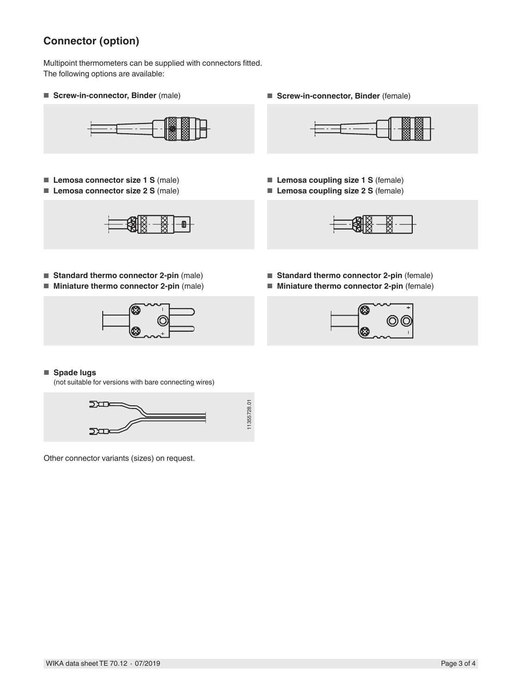## **Connector (option)**

Multipoint thermometers can be supplied with connectors fitted. The following options are available:

■ **Screw-in-connector, Binder** (male) ■ **Borew-in-connector, Binder** (female)



- **Lemosa connector size 1 S** (male)
- **Lemosa connector size 2 S** (male)

■ **Standard thermo connector 2-pin** (male) ■ **Miniature thermo connector 2-pin** (male)





- **Lemosa coupling size 1 S** (female)
- **Lemosa coupling size 2 S** (female)



- **Standard thermo connector 2-pin** (female)
- **Miniature thermo connector 2-pin** (female)





#### ■ **Spade lugs**

(not suitable for versions with bare connecting wires)



Other connector variants (sizes) on request.